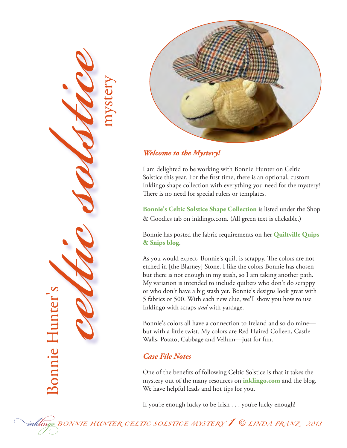



#### *Welcome to the Mystery!*

I am delighted to be working with Bonnie Hunter on Celtic Solstice this year. For the first time, there is an optional, custom Inklingo shape collection with everything you need for the mystery! There is no need for special rulers or templates.

**[Bonnie's Celtic Solstice Shape Collection](http://lindafranz.com/shop/beginners/3/product/celtic-solstice/156)** is listed under the Shop & Goodies tab on inklingo.com. (All green text is clickable.)

Bonnie has posted the fabric requirements on her **[Quiltville Quips](http://quiltville.blogspot.ca/)  [& Snips blog](http://quiltville.blogspot.ca/)**.

As you would expect, Bonnie's quilt is scrappy. The colors are not etched in [the Blarney] Stone. I like the colors Bonnie has chosen but there is not enough in my stash, so I am taking another path. My variation is intended to include quilters who don't do scrappy or who don't have a big stash yet. Bonnie's designs look great with 5 fabrics or 500. With each new clue, we'll show you how to use Inklingo with scraps *and* with yardage.

Bonnie's colors all have a connection to Ireland and so do mine but with a little twist. My colors are Red Haired Colleen, Castle Walls, Potato, Cabbage and Vellum—just for fun.

#### *Case File Notes*

One of the benefits of following Celtic Solstice is that it takes the mystery out of the many resources on **[inklingo.com](http://inklingo.com/)** and the blog. We have helpful leads and hot tips for you.

If you're enough lucky to be Irish . . . you're lucky enough!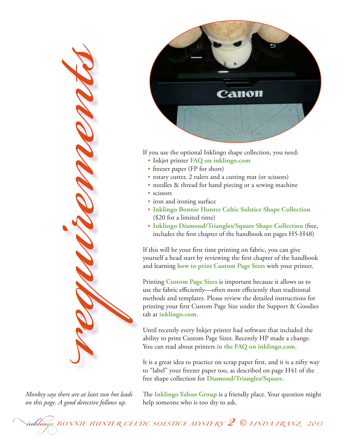

*Monkey says there are at least two hot leads on this page. A good detective follows up.*



If you use the optional Inklingo shape collection, you need:

- • Inkjet printer **FAQ on [inklingo.com](http://lindafranz.com/section/faq/question/45#q45)**
- freezer paper (FP for short)
- rotary cutter, 2 rulers and a cutting mat (or scissors)
- needles & thread for hand piecing or a sewing machine
- scissors
- iron and ironing surface
- • **[Inklingo](http://lindafranz.com/shop/beginners/3/product/celtic-solstice/156) Bonnie Hunter Celtic Solstice Shape Collection** (\$20 for a limited time)
- • **[Inklingo Diamond/Triangles/Square Shape Collection](http://lindafranz.com/shop/beginners/3/product/inklingo-free-shapes/7)** (free, includes the first chapter of the handbook on pages H5-H48)

If this will be your first time printing on fabric, you can give yourself a head start by reviewing the first chapter of the handbook and learning **[how to print Custom Page Sizes](http://lindafranz.com/section/custom-page-sizes/43)** with your printer.

Printing **[Custom Page Sizes](http://lindafranz.com/section/custom-page-sizes/43)** is important because it allows us to use the fabric efficiently—often more efficiently than traditional methods and templates. Please review the detailed instructions for printing your first Custom Page Size under the Support & Goodies tab at **[inklingo.com](http://inklingo.com/)**.

Until recently every Inkjet printer had software that included the ability to print Custom Page Sizes. Recently HP made a change. You can read about printers **in the FAQ on [inklingo.com](http://lindafranz.com/section/faq/question/45#q45)**.

It is a great idea to practice on scrap paper first, and it is a nifty way to "label" your freezer paper too, as described on page H41 of the free shape collection for **[Diamond/Triangles/Square](http://lindafranz.com/shop/beginners/3/product/inklingo-free-shapes/7)**.

The **[Inklingo Yahoo Group](http://groups.yahoo.com/group/Inklingo/)** is a friendly place. Your question might help someone who is too shy to ask.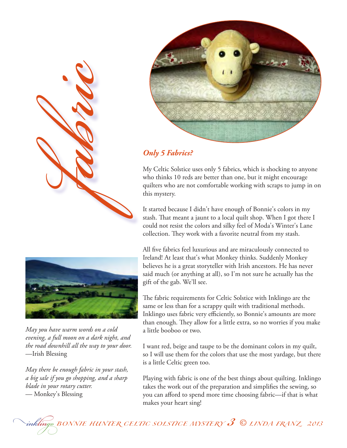

#### *Only 5 Fabrics?*

My Celtic Solstice uses only 5 fabrics, which is shocking to anyone who thinks 10 reds are better than one, but it might encourage quilters who are not comfortable working with scraps to jump in on this mystery.

It started because I didn't have enough of Bonnie's colors in my stash. That meant a jaunt to a local quilt shop. When I got there I could not resist the colors and silky feel of Moda's Winter's Lane collection. They work with a favorite neutral from my stash.

All five fabrics feel luxurious and are miraculously connected to Ireland! At least that's what Monkey thinks. Suddenly Monkey believes he is a great storyteller with Irish ancestors. He has never said much (or anything at all), so I'm not sure he actually has the gift of the gab. We'll see.

The fabric requirements for Celtic Solstice with Inklingo are the same or less than for a scrappy quilt with traditional methods. Inklingo uses fabric very efficiently, so Bonnie's amounts are more than enough. They allow for a little extra, so no worries if you make a little booboo or two.

I want red, beige and taupe to be the dominant colors in my quilt, so I will use them for the colors that use the most yardage, but there is a little Celtic green too.

Playing with fabric is one of the best things about quilting. Inklingo takes the work out of the preparation and simplifies the sewing, so you can afford to spend more time choosing fabric—if that is what makes your heart sing!



*fabric*

*May you have warm words on a cold evening, a full moon on a dark night, and the road downhill all the way to your door.*  —Irish Blessing

*May there be enough fabric in your stash, a big sale if you go shopping, and a sharp blade in your rotary cutter.* — Monkey's Blessing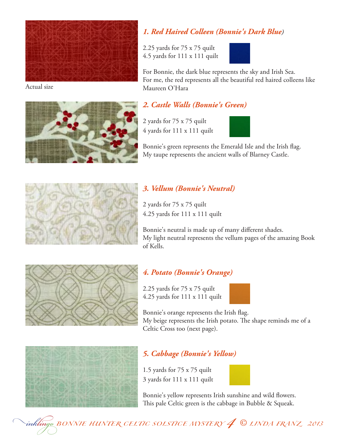

Actual size



#### *1. Red Haired Colleen (Bonnie's Dark Blue)*

2.25 yards for 75 x 75 quilt 4.5 yards for 111 x 111 quilt



For Bonnie, the dark blue represents the sky and Irish Sea. For me, the red represents all the beautiful red haired colleens like Maureen O'Hara

#### *2. Castle Walls (Bonnie's Green)*

2 yards for 75 x 75 quilt 4 yards for 111 x 111 quilt



Bonnie's green represents the Emerald Isle and the Irish flag. My taupe represents the ancient walls of Blarney Castle.



#### *3. Vellum (Bonnie's Neutral)*

2 yards for 75 x 75 quilt 4.25 yards for 111 x 111 quilt

Bonnie's neutral is made up of many different shades. My light neutral represents the vellum pages of the amazing Book of Kells.



## *4. Potato (Bonnie's Orange)*

2.25 yards for 75 x 75 quilt 4.25 yards for 111 x 111 quilt



Bonnie's orange represents the Irish flag. My beige represents the Irish potato. The shape reminds me of a Celtic Cross too (next page).



## *5. Cabbage (Bonnie's Yellow)*

1.5 yards for 75 x 75 quilt 3 yards for 111 x 111 quilt



Bonnie's yellow represents Irish sunshine and wild flowers. This pale Celtic green is the cabbage in Bubble & Squeak.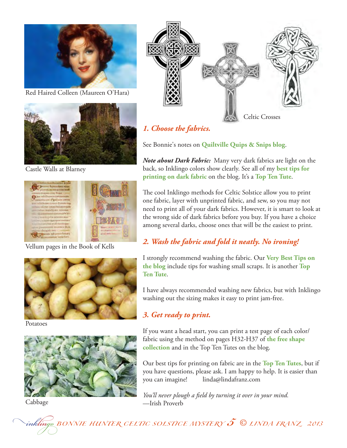

Red Haired Colleen (Maureen O'Hara)



Castle Walls at Blarney



Vellum pages in the Book of Kells



Potatoes



Cabbage



## *1. Choose the fabrics.*

See Bonnie's notes on **[Quiltville Quips & Snips blog](http://quiltville.blogspot.ca/p/celtic-solstice-mystery.html)**.

*Note about Dark Fabric:* Many very dark fabrics are light on the back, so Inklingo colors show clearly. See all of my **[best tips for](http://www.lindafranz.com/blog/inklingo-on-dark-quilt-fabric/)  [printing on dark fabric](http://www.lindafranz.com/blog/inklingo-on-dark-quilt-fabric/)** on the blog. It's a **[Top Ten Tute](http://www.lindafranz.com/blog/top-ten-tutes/)**.

The cool Inklingo methods for Celtic Solstice allow you to print one fabric, layer with unprinted fabric, and sew, so you may not need to print all of your dark fabrics. However, it is smart to look at the wrong side of dark fabrics before you buy. If you have a choice among several darks, choose ones that will be the easiest to print.

## *2. Wash the fabric and fold it neatly. No ironing!*

I strongly recommend washing the fabric. Our **[Very Best Tips on](http://www.lindafranz.com/blog/how-to-print-on-fabric-best-tips/)  [the blog](http://www.lindafranz.com/blog/how-to-print-on-fabric-best-tips/)** include tips for washing small scraps. It is another **[Top](http://www.lindafranz.com/blog/top-ten-tutes/)  [Ten Tute](http://www.lindafranz.com/blog/top-ten-tutes/)**.

I have always recommended washing new fabrics, but with Inklingo washing out the sizing makes it easy to print jam-free.

## *3. Get ready to print.*

If you want a head start, you can print a test page of each color/ fabric using the method on pages H32-H37 of **[the free shape](http://lindafranz.com/shop/beginners/3/product/inklingo-free-shapes/7)  [collection](http://lindafranz.com/shop/beginners/3/product/inklingo-free-shapes/7)** and in the Top Ten Tutes on the blog.

Our best tips for printing on fabric are in the **[Top Ten Tutes](http://www.lindafranz.com/blog/top-ten-tutes/)**, but if you have questions, please ask. I am happy to help. It is easier than you can imagine! linda@lindafranz.com

*You'll never plough a field by turning it over in your mind.*  —Irish Proverb

# *inklingo BONNIE HUNTER CELTIC SOLSTICE MYSTERY 5 © LINDA FRANZ 2013*